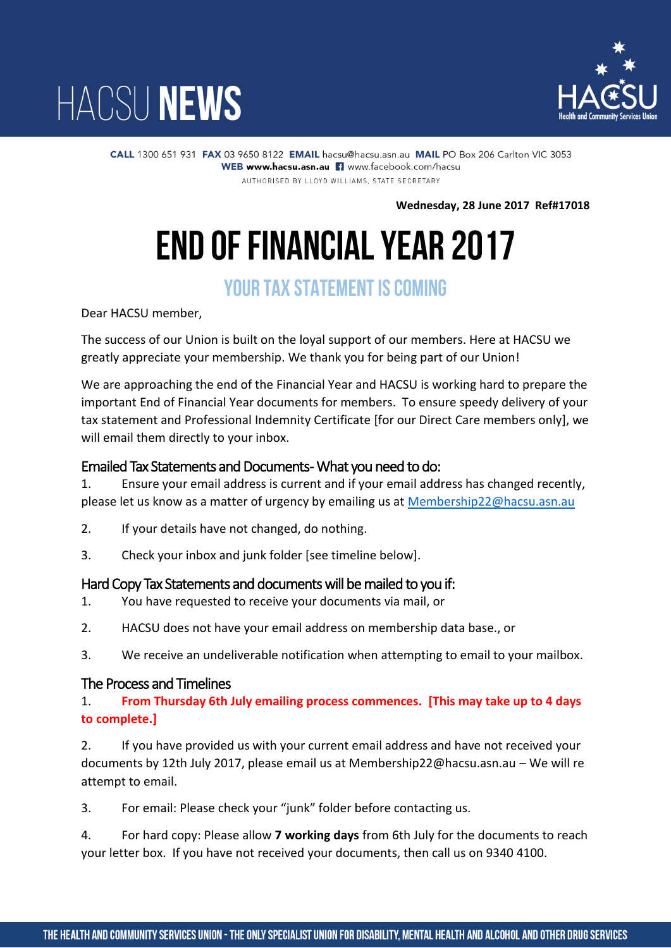



CALL 1300 651 931 FAX 03 9650 8122 EMAIL hacsu@hacsu.asn.au MAIL PO Box 206 Carlton VIC 3053 WEB www.hacsu.asn.au | www.facebook.com/hacsu AUTHORISED BY LLOYD WILLIAMS, STATE SECRETARY

**Wednesday, 28 June 2017 Ref#17018**

## **END OF FINANCIAL YEAR 2017**

### **YOUR TAX STATEMENT IS COMING**

Dear HACSU member,

The success of our Union is built on the loyal support of our members. Here at HACSU we greatly appreciate your membership. We thank you for being part of our Union!

We are approaching the end of the Financial Year and HACSU is working hard to prepare the important End of Financial Year documents for members. To ensure speedy delivery of your tax statement and Professional Indemnity Certificate [for our Direct Care members only], we will email them directly to your inbox.

#### Emailed Tax Statements and Documents - What you need to do:

1. Ensure your email address is current and if your email address has changed recently, please let us know as a matter of urgency by emailing us at [Membership22@hacsu.asn.au](mailto:Membership22@hacsu.asn.au)

- 2. If your details have not changed, do nothing.
- 3. Check your inbox and junk folder [see timeline below].

#### Hard Copy Tax Statements and documents will be mailed to you if:

- 1. You have requested to receive your documents via mail, or
- 2. HACSU does not have your email address on membership data base., or
- 3. We receive an undeliverable notification when attempting to email to your mailbox.

#### The Process and Timelines

1. **From Thursday 6th July emailing process commences. [This may take up to 4 days to complete.]**

2. If you have provided us with your current email address and have not received your documents by 12th July 2017, please email us at Membership22@hacsu.asn.au – We will re attempt to email.

3. For email: Please check your "junk" folder before contacting us.

4. For hard copy: Please allow **7 working days** from 6th July for the documents to reach your letter box. If you have not received your documents, then call us on 9340 4100.